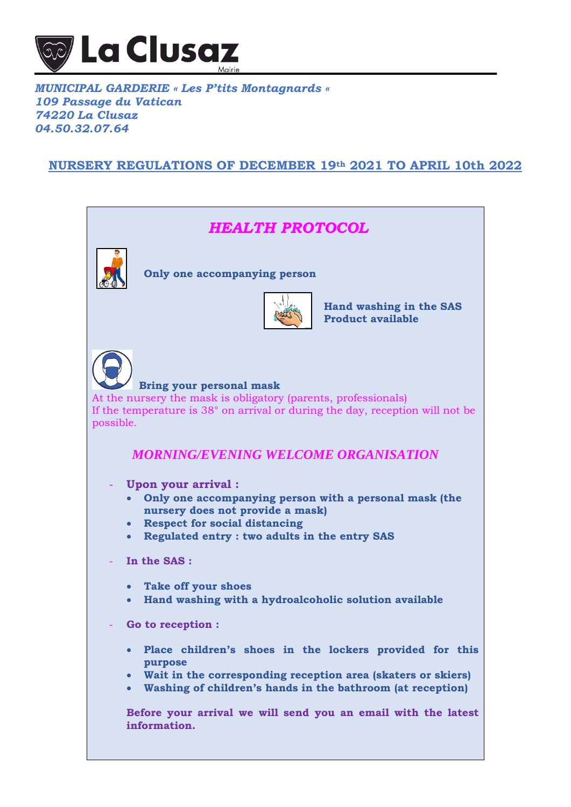

## *MUNICIPAL GARDERIE « Les P'tits Montagnards « 109 Passage du Vatican 74220 La Clusaz 04.50.32.07.64*

# **NURSERY REGULATIONS OF DECEMBER 19th 2021 TO APRIL 10th 2022**

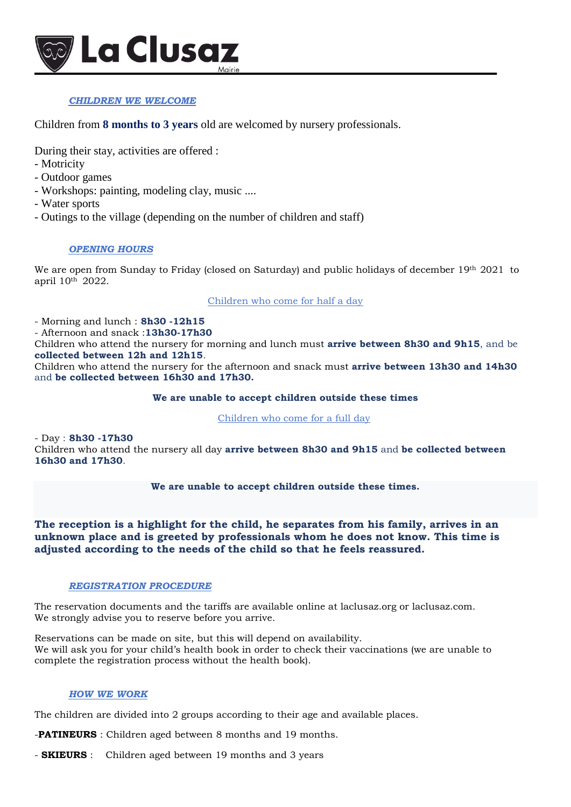

### *CHILDREN WE WELCOME*

Children from **8 months to 3 years** old are welcomed by nursery professionals.

During their stay, activities are offered :

- Motricity
- Outdoor games
- Workshops: painting, modeling clay, music ....
- Water sports
- Outings to the village (depending on the number of children and staff)

### *OPENING HOURS*

We are open from Sunday to Friday (closed on Saturday) and public holidays of december 19th 2021 to april 10th 2022.

Children who come for half a day

- Morning and lunch : **8h30 -12h15**

- Afternoon and snack :**13h30-17h30**

Children who attend the nursery for morning and lunch must **arrive between 8h30 and 9h15**, and be **collected between 12h and 12h15**.

Children who attend the nursery for the afternoon and snack must **arrive between 13h30 and 14h30** and **be collected between 16h30 and 17h30.**

### **We are unable to accept children outside these times**

Children who come for a full day

- Day : **8h30 -17h30**

Children who attend the nursery all day **arrive between 8h30 and 9h15** and **be collected between 16h30 and 17h30**.

### **We are unable to accept children outside these times.**

### **The reception is a highlight for the child, he separates from his family, arrives in an unknown place and is greeted by professionals whom he does not know. This time is adjusted according to the needs of the child so that he feels reassured.**

### *REGISTRATION PROCEDURE*

The reservation documents and the tariffs are available online at laclusaz.org or laclusaz.com. We strongly advise you to reserve before you arrive.

Reservations can be made on site, but this will depend on availability. We will ask you for your child's health book in order to check their vaccinations (we are unable to complete the registration process without the health book).

### *HOW WE WORK*

The children are divided into 2 groups according to their age and available places.

-**PATINEURS** : Children aged between 8 months and 19 months.

- **SKIEURS** : Children aged between 19 months and 3 years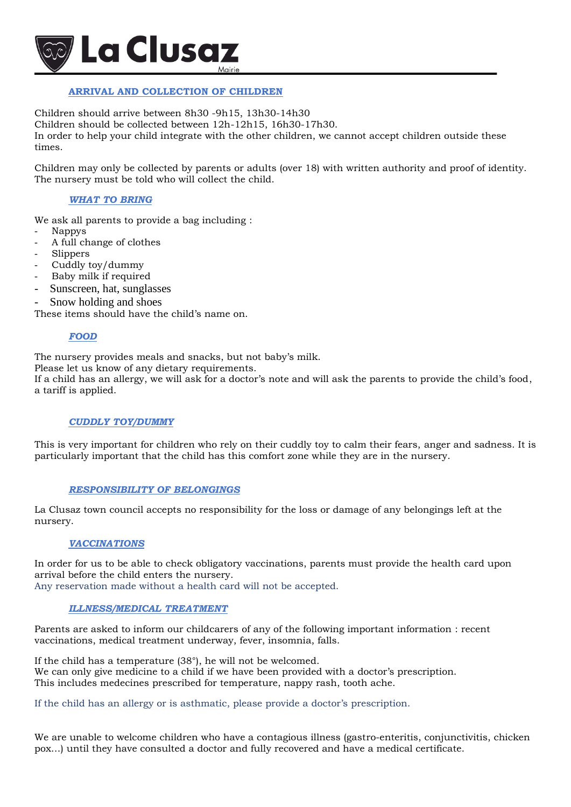

### **ARRIVAL AND COLLECTION OF CHILDREN**

Children should arrive between 8h30 -9h15, 13h30-14h30 Children should be collected between 12h-12h15, 16h30-17h30. In order to help your child integrate with the other children, we cannot accept children outside these times.

Children may only be collected by parents or adults (over 18) with written authority and proof of identity. The nursery must be told who will collect the child.

### *WHAT TO BRING*

We ask all parents to provide a bag including :

- Nappy<sub>s</sub>
- A full change of clothes
- **Slippers**
- Cuddly toy/dummy
- Baby milk if required
- Sunscreen, hat, sunglasses
- Snow holding and shoes

These items should have the child's name on.

### *FOOD*

The nursery provides meals and snacks, but not baby's milk.

Please let us know of any dietary requirements.

If a child has an allergy, we will ask for a doctor's note and will ask the parents to provide the child's food, a tariff is applied.

#### *CUDDLY TOY/DUMMY*

This is very important for children who rely on their cuddly toy to calm their fears, anger and sadness. It is particularly important that the child has this comfort zone while they are in the nursery.

#### *RESPONSIBILITY OF BELONGINGS*

La Clusaz town council accepts no responsibility for the loss or damage of any belongings left at the nursery.

#### *VACCINATIONS*

In order for us to be able to check obligatory vaccinations, parents must provide the health card upon arrival before the child enters the nursery. Any reservation made without a health card will not be accepted.

#### *ILLNESS/MEDICAL TREATMENT*

Parents are asked to inform our childcarers of any of the following important information : recent vaccinations, medical treatment underway, fever, insomnia, falls.

If the child has a temperature (38°), he will not be welcomed. We can only give medicine to a child if we have been provided with a doctor's prescription. This includes medecines prescribed for temperature, nappy rash, tooth ache.

If the child has an allergy or is asthmatic, please provide a doctor's prescription.

We are unable to welcome children who have a contagious illness (gastro-enteritis, conjunctivitis, chicken pox…) until they have consulted a doctor and fully recovered and have a medical certificate.